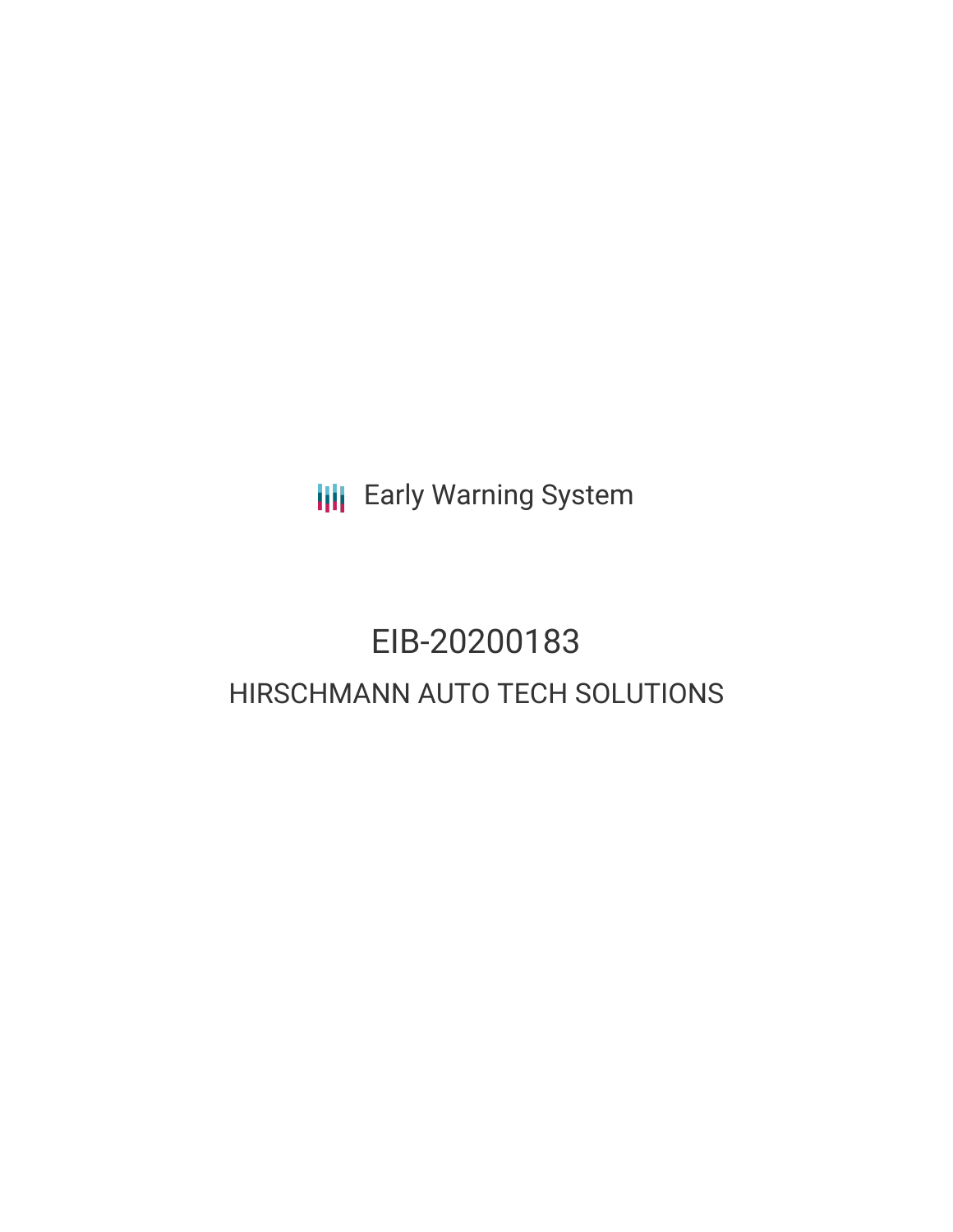**III** Early Warning System

# EIB-20200183 HIRSCHMANN AUTO TECH SOLUTIONS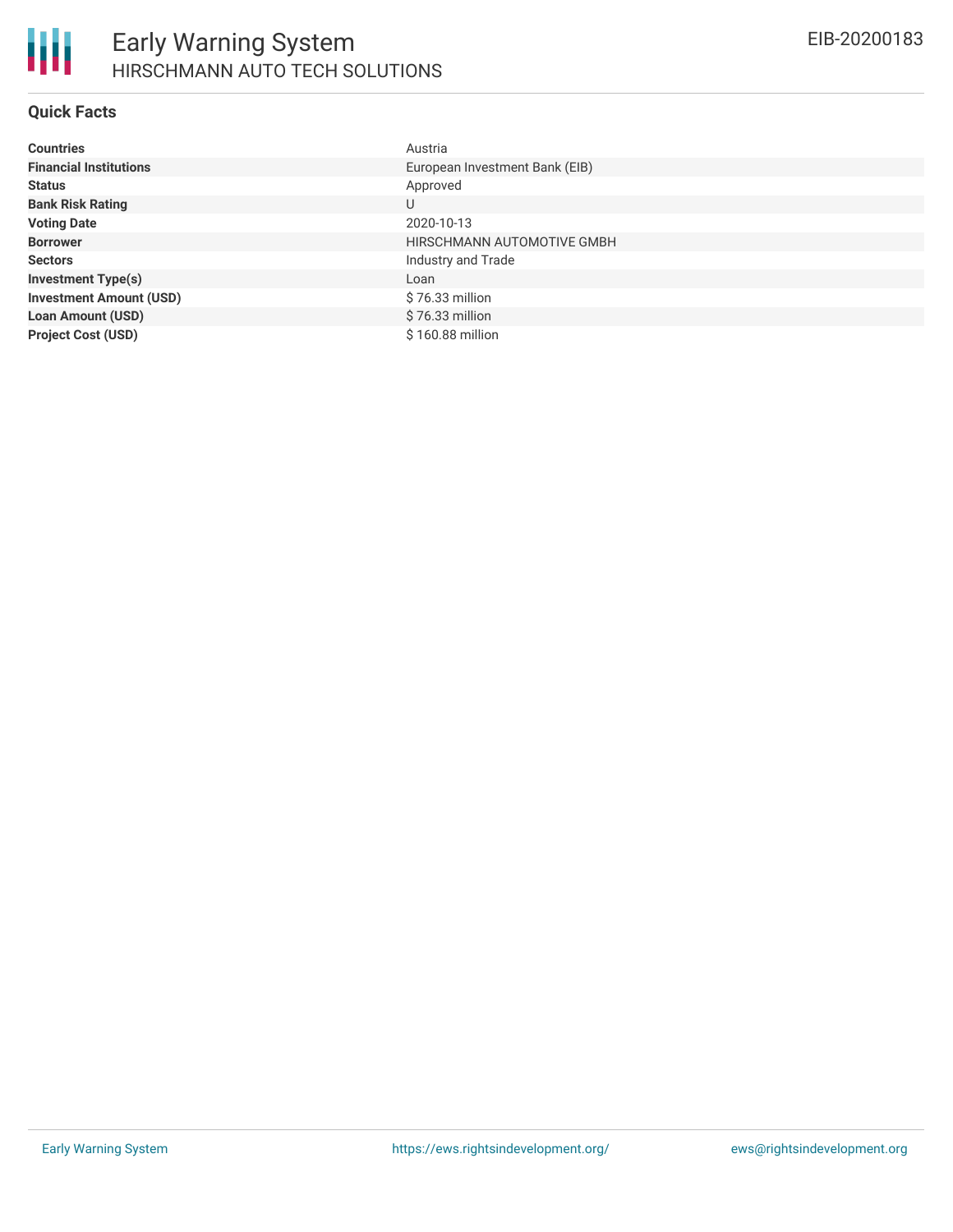

## **Quick Facts**

| <b>Countries</b>               | Austria                        |
|--------------------------------|--------------------------------|
| <b>Financial Institutions</b>  | European Investment Bank (EIB) |
| <b>Status</b>                  | Approved                       |
| <b>Bank Risk Rating</b>        | U                              |
| <b>Voting Date</b>             | 2020-10-13                     |
| <b>Borrower</b>                | HIRSCHMANN AUTOMOTIVE GMBH     |
| <b>Sectors</b>                 | Industry and Trade             |
| <b>Investment Type(s)</b>      | Loan                           |
| <b>Investment Amount (USD)</b> | \$76.33 million                |
| <b>Loan Amount (USD)</b>       | $$76.33$ million               |
| <b>Project Cost (USD)</b>      | \$160.88 million               |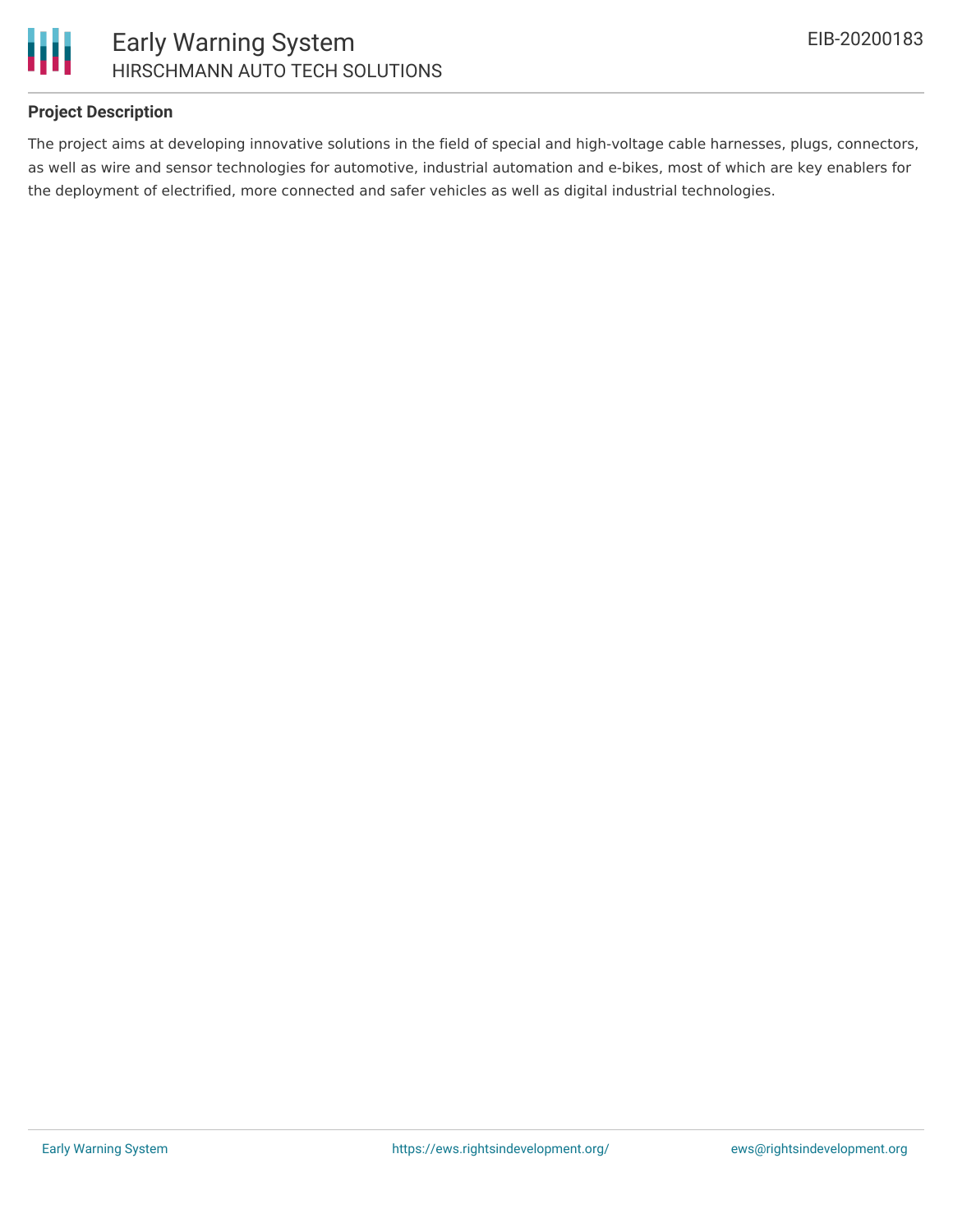



## **Project Description**

The project aims at developing innovative solutions in the field of special and high-voltage cable harnesses, plugs, connectors, as well as wire and sensor technologies for automotive, industrial automation and e-bikes, most of which are key enablers for the deployment of electrified, more connected and safer vehicles as well as digital industrial technologies.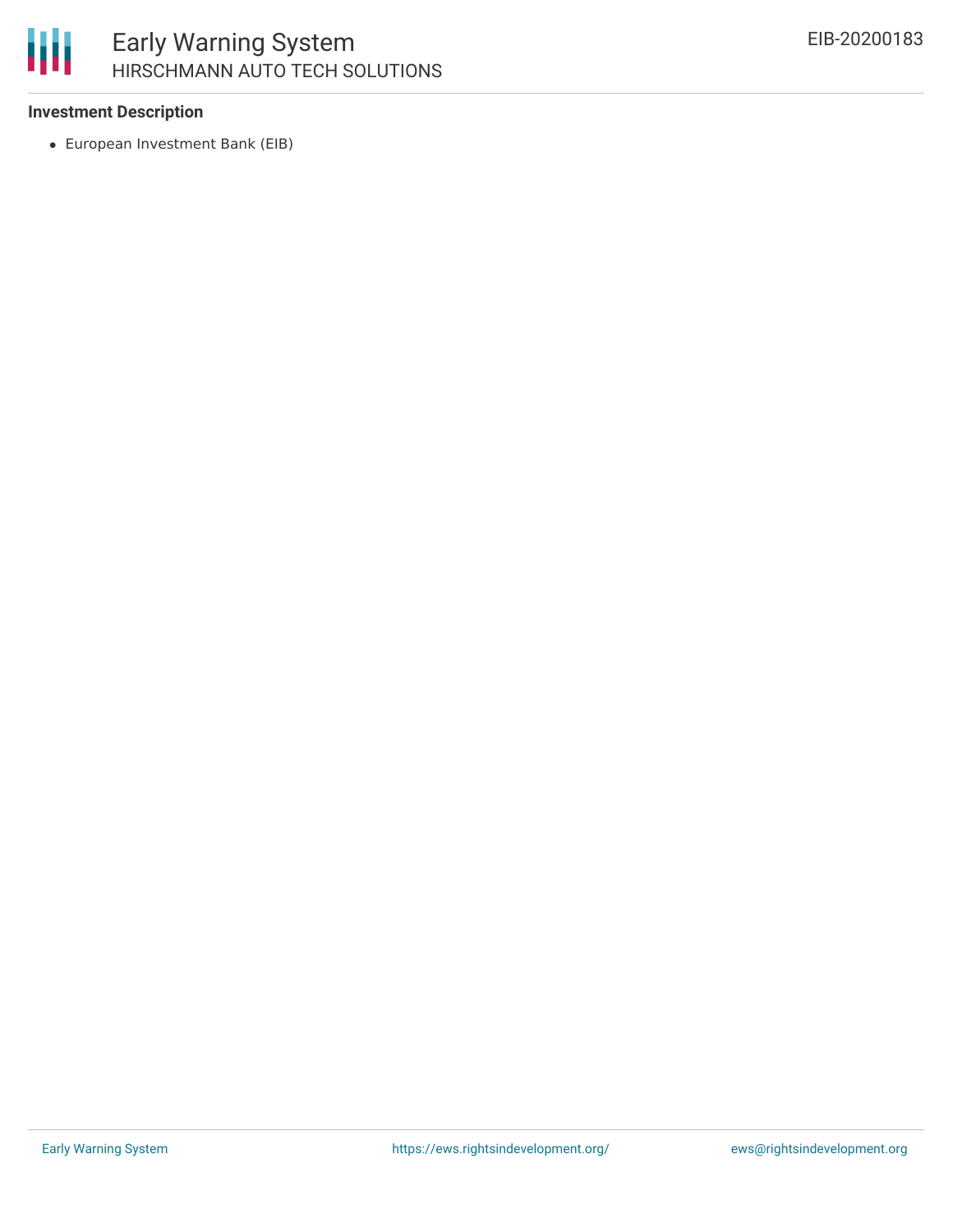

## Early Warning System HIRSCHMANN AUTO TECH SOLUTIONS

### **Investment Description**

European Investment Bank (EIB)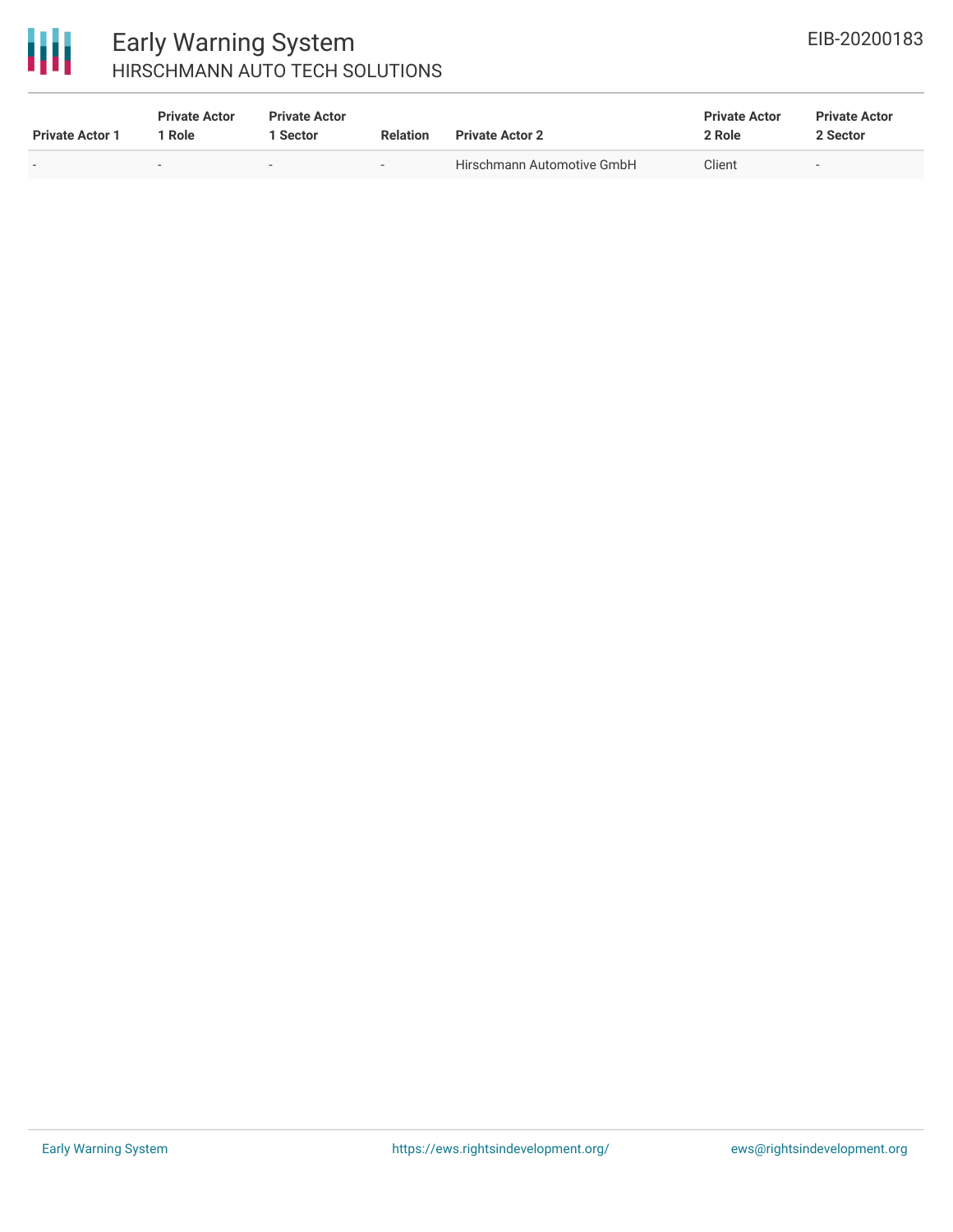

## Early Warning System HIRSCHMANN AUTO TECH SOLUTIONS

| <b>Private Actor 1</b> | <b>Private Actor</b><br>1 Role | <b>Private Actor</b><br><b>Sector</b> | <b>Relation</b> | <b>Private Actor 2</b>     | <b>Private Actor</b><br>2 Role | <b>Private Actor</b><br>2 Sector |  |
|------------------------|--------------------------------|---------------------------------------|-----------------|----------------------------|--------------------------------|----------------------------------|--|
|                        | $\overline{\phantom{a}}$       | $\sim$                                | $\,$            | Hirschmann Automotive GmbH | Client                         | $\overline{\phantom{a}}$         |  |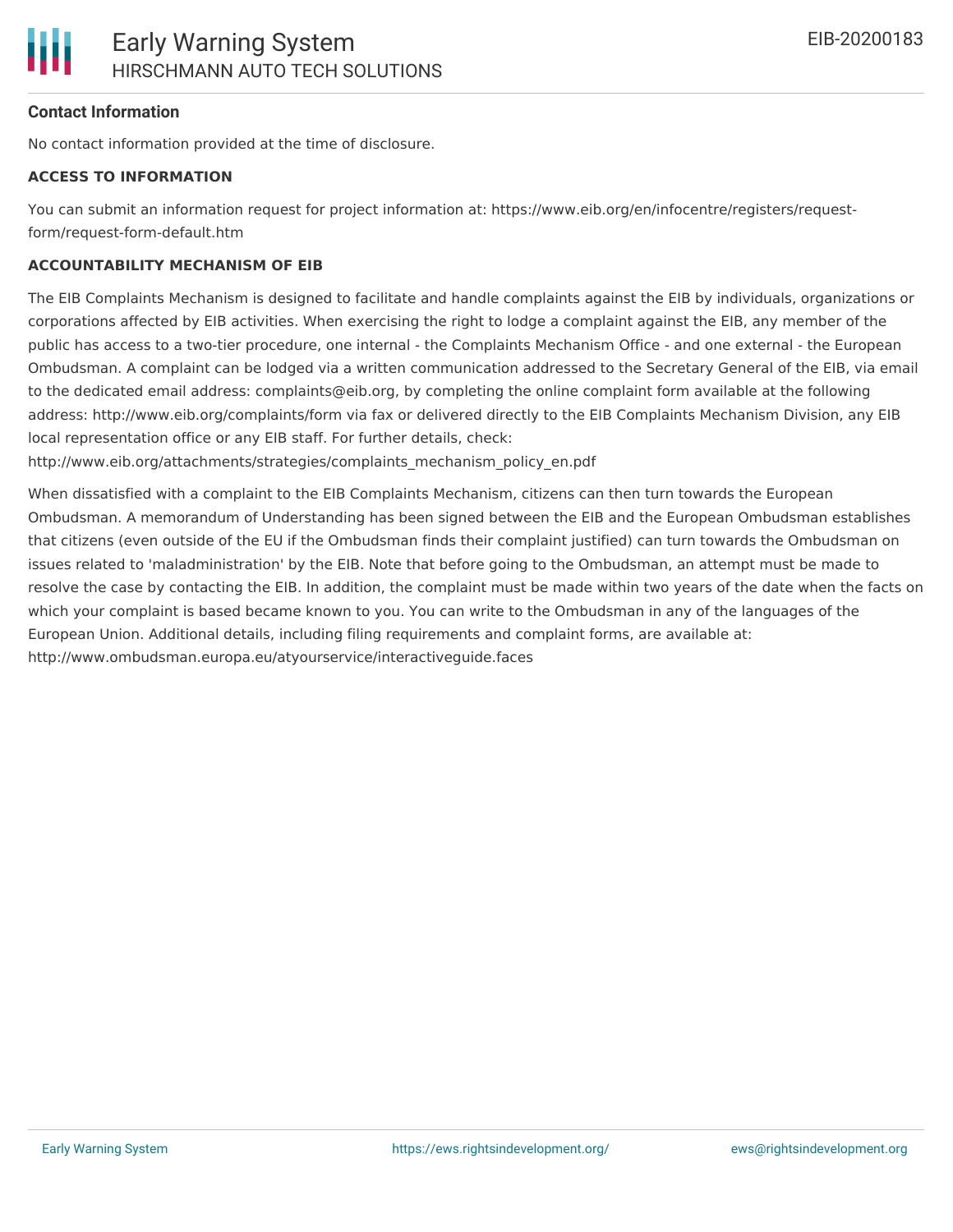## **Contact Information**

No contact information provided at the time of disclosure.

## **ACCESS TO INFORMATION**

You can submit an information request for project information at: https://www.eib.org/en/infocentre/registers/requestform/request-form-default.htm

## **ACCOUNTABILITY MECHANISM OF EIB**

The EIB Complaints Mechanism is designed to facilitate and handle complaints against the EIB by individuals, organizations or corporations affected by EIB activities. When exercising the right to lodge a complaint against the EIB, any member of the public has access to a two-tier procedure, one internal - the Complaints Mechanism Office - and one external - the European Ombudsman. A complaint can be lodged via a written communication addressed to the Secretary General of the EIB, via email to the dedicated email address: complaints@eib.org, by completing the online complaint form available at the following address: http://www.eib.org/complaints/form via fax or delivered directly to the EIB Complaints Mechanism Division, any EIB local representation office or any EIB staff. For further details, check:

http://www.eib.org/attachments/strategies/complaints\_mechanism\_policy\_en.pdf

When dissatisfied with a complaint to the EIB Complaints Mechanism, citizens can then turn towards the European Ombudsman. A memorandum of Understanding has been signed between the EIB and the European Ombudsman establishes that citizens (even outside of the EU if the Ombudsman finds their complaint justified) can turn towards the Ombudsman on issues related to 'maladministration' by the EIB. Note that before going to the Ombudsman, an attempt must be made to resolve the case by contacting the EIB. In addition, the complaint must be made within two years of the date when the facts on which your complaint is based became known to you. You can write to the Ombudsman in any of the languages of the European Union. Additional details, including filing requirements and complaint forms, are available at: http://www.ombudsman.europa.eu/atyourservice/interactiveguide.faces